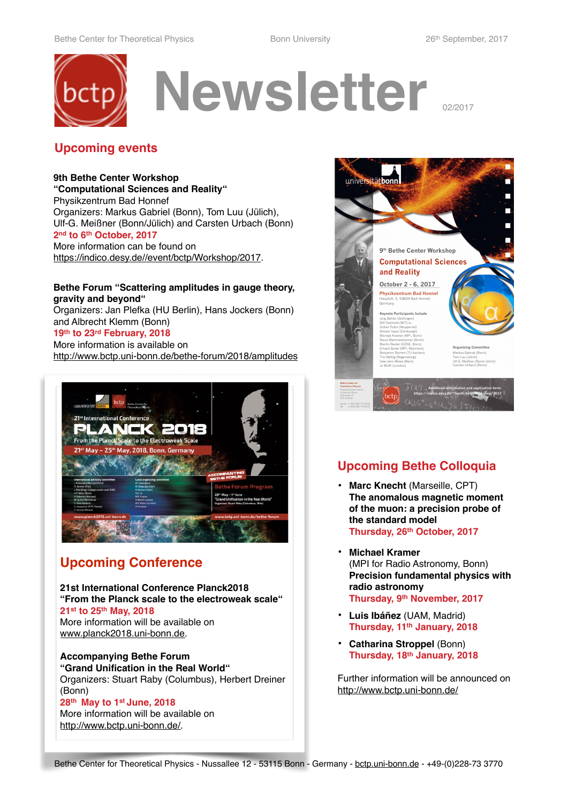

## **Upcoming events**

**9th Bethe Center Workshop "Computational Sciences and Reality"** Physikzentrum Bad Honnef Organizers: Markus Gabriel (Bonn), Tom Luu (Jülich), Ulf-G. Meißner (Bonn/Jülich) and Carsten Urbach (Bonn) **2nd to 6th October, 2017** More information can be found on [https://indico.desy.de//event/bctp/Workshop/2017.](https://indico.desy.de//event/bctp/Workshop/2017)

### **Bethe Forum "Scattering amplitudes in gauge theory, gravity and beyond"**

Organizers: Jan Plefka (HU Berlin), Hans Jockers (Bonn) and Albrecht Klemm (Bonn)

## **19th to 23rd February, 2018**

More information is available on <http://www.bctp.uni-bonn.de/bethe-forum/2018/amplitudes>



# **Upcoming Conference**

**21st International Conference Planck2018 "From the Planck scale to the electroweak scale" 21st to 25th May, 2018** More information will be available on [www.planck2018.uni-bonn.de.](http://www.planck2018.uni-bonn.de)

**Accompanying Bethe Forum "Grand Unification in the Real World"** Organizers: Stuart Raby (Columbus), Herbert Dreiner (Bonn) **28th May to 1st June, 2018**

More information will be available on [http://www.bctp.uni-bonn.de/.](http://www.bctp.uni-bonn.de/)



# **Upcoming Bethe Colloquia**

- **• Marc Knecht** (Marseille, CPT) **The anomalous magnetic moment of the muon: a precision probe of the standard model Thursday, 26th October, 2017**
- **• Michael Kramer**  (MPI for Radio Astronomy, Bonn) **Precision fundamental physics with radio astronomy Thursday, 9th November, 2017**
- **• Luis Ibáñez** (UAM, Madrid) **Thursday, 11th January, 2018**
- **• Catharina Stroppel** (Bonn) **Thursday, 18th January, 2018**

Further information will be announced on [http://www.bctp.uni-bonn.de/](http://www.bctp.uni-bonn.de/?navigation=news)